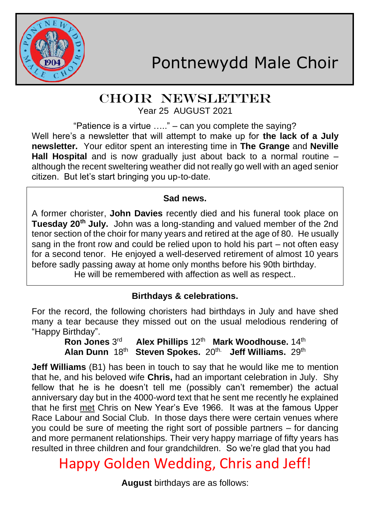

## CHOIR NEWSLETTER Year 25 AUGUST 2021

"Patience is a virtue ….." – can you complete the saying? Well here's a newsletter that will attempt to make up for **the lack of a July newsletter.** Your editor spent an interesting time in **The Grange** and **Neville Hall Hospital** and is now gradually just about back to a normal routine – although the recent sweltering weather did not really go well with an aged senior citizen. But let's start bringing you up-to-date.

### **Sad news.**

A former chorister, **John Davies** recently died and his funeral took place on **Tuesday 20th July.** John was a long-standing and valued member of the 2nd tenor section of the choir for many years and retired at the age of 80. He usually sang in the front row and could be relied upon to hold his part – not often easy for a second tenor. He enjoyed a well-deserved retirement of almost 10 years before sadly passing away at home only months before his 90th birthday.

He will be remembered with affection as well as respect..

## **Birthdays & celebrations.**

For the record, the following choristers had birthdays in July and have shed many a tear because they missed out on the usual melodious rendering of "Happy Birthday".

**Ron Jones 3<sup>rd</sup> Alex Phillips 12<sup>th</sup> Mark Woodhouse. 14<sup>th</sup> Alan Dunn** 18th **Steven Spokes.** 20th. **Jeff Williams.** 29th

**Jeff Williams** (B1) has been in touch to say that he would like me to mention that he, and his beloved wife **Chris,** had an important celebration in July. Shy fellow that he is he doesn't tell me (possibly can't remember) the actual anniversary day but in the 4000-word text that he sent me recently he explained that he first met Chris on New Year's Eve 1966. It was at the famous Upper Race Labour and Social Club. In those days there were certain venues where you could be sure of meeting the right sort of possible partners – for dancing and more permanent relationships. Their very happy marriage of fifty years has resulted in three children and four grandchildren. So we're glad that you had

# Happy Golden Wedding, Chris and Jeff!

**August** birthdays are as follows: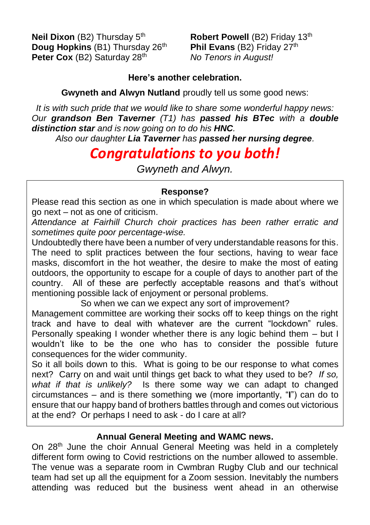**Neil Dixon** (B2) Thursday 5<sup>th</sup> **Robert Powell** (B2) Friday 13<sup>th</sup><br>**Doug Hopkins** (B1) Thursday 26<sup>th</sup> Phil Evans (B2) Friday 27<sup>th</sup> **Doug Hopkins (B1) Thursday 26th Peter Cox** (B2) Saturday 28<sup>th</sup> *No Tenors in August!* 

#### **Here's another celebration.**

**Gwyneth and Alwyn Nutland** proudly tell us some good news:

*It is with such pride that we would like to share some wonderful happy news: Our grandson Ben Taverner (T1) has passed his BTec with a double distinction star and is now going on to do his HNC.*

*Also our daughter Lia Taverner has passed her nursing degree.*

# *Congratulations to you both!*

*Gwyneth and Alwyn.*

## **Response?**

Please read this section as one in which speculation is made about where we go next – not as one of criticism.

*Attendance at Fairhill Church choir practices has been rather erratic and sometimes quite poor percentage-wise.*

Undoubtedly there have been a number of very understandable reasons for this. The need to split practices between the four sections, having to wear face masks, discomfort in the hot weather, the desire to make the most of eating outdoors, the opportunity to escape for a couple of days to another part of the country. All of these are perfectly acceptable reasons and that's without mentioning possible lack of enjoyment or personal problems.

So when we can we expect any sort of improvement?

Management committee are working their socks off to keep things on the right track and have to deal with whatever are the current "lockdown" rules. Personally speaking I wonder whether there is any logic behind them – but I wouldn't like to be the one who has to consider the possible future consequences for the wider community.

So it all boils down to this. What is going to be our response to what comes next? Carry on and wait until things get back to what they used to be? *If so, what if that is unlikely?* Is there some way we can adapt to changed circumstances – and is there something we (more importantly, "**I**") can do to ensure that our happy band of brothers battles through and comes out victorious at the end? Or perhaps I need to ask - do I care at all?

### **Annual General Meeting and WAMC news.**

On 28<sup>th</sup> June the choir Annual General Meeting was held in a completely different form owing to Covid restrictions on the number allowed to assemble. The venue was a separate room in Cwmbran Rugby Club and our technical team had set up all the equipment for a Zoom session. Inevitably the numbers attending was reduced but the business went ahead in an otherwise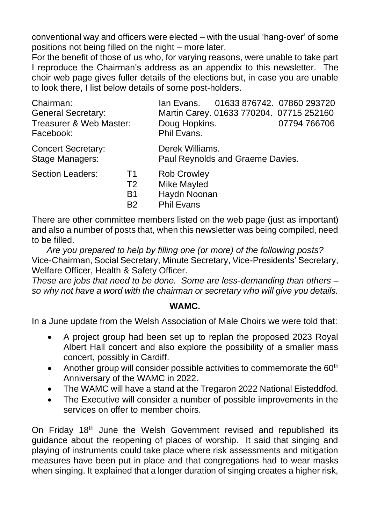conventional way and officers were elected – with the usual 'hang-over' of some positions not being filled on the night – more later.

For the benefit of those of us who, for varying reasons, were unable to take part I reproduce the Chairman's address as an appendix to this newsletter. The choir web page gives fuller details of the elections but, in case you are unable to look there, I list below details of some post-holders.

| Chairman:                                    |                | 01633 876742. 07860 293720<br>lan Evans.            |
|----------------------------------------------|----------------|-----------------------------------------------------|
| <b>General Secretary:</b>                    |                | Martin Carey. 01633 770204. 07715 252160            |
| Treasurer & Web Master:<br>Facebook:         |                | Doug Hopkins.<br>07794 766706<br>Phil Evans.        |
| <b>Concert Secretary:</b><br>Stage Managers: |                | Derek Williams.<br>Paul Reynolds and Graeme Davies. |
| Section Leaders:                             | Т1             | <b>Rob Crowley</b>                                  |
|                                              | T2             | Mike Mayled                                         |
|                                              | B1             | Haydn Noonan                                        |
|                                              | B <sub>2</sub> | <b>Phil Evans</b>                                   |

There are other committee members listed on the web page (just as important) and also a number of posts that, when this newsletter was being compiled, need to be filled.

*Are you prepared to help by filling one (or more) of the following posts?* Vice-Chairman, Social Secretary, Minute Secretary, Vice-Presidents' Secretary, Welfare Officer, Health & Safety Officer.

*These are jobs that need to be done. Some are less-demanding than others – so why not have a word with the chairman or secretary who will give you details.*

#### **WAMC.**

In a June update from the Welsh Association of Male Choirs we were told that:

- A project group had been set up to replan the proposed 2023 Royal Albert Hall concert and also explore the possibility of a smaller mass concert, possibly in Cardiff.
- Another group will consider possible activities to commemorate the  $60<sup>th</sup>$ Anniversary of the WAMC in 2022.
- The WAMC will have a stand at the Tregaron 2022 National Eisteddfod.
- The Executive will consider a number of possible improvements in the services on offer to member choirs.

On Friday 18<sup>th</sup> June the Welsh Government revised and republished its guidance about the reopening of places of worship. It said that singing and playing of instruments could take place where risk assessments and mitigation measures have been put in place and that congregations had to wear masks when singing. It explained that a longer duration of singing creates a higher risk,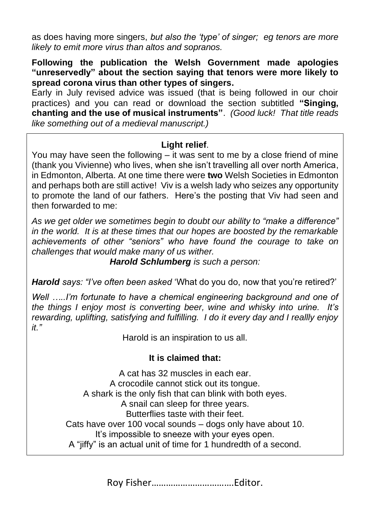as does having more singers, *but also the 'type' of singer; eg tenors are more likely to emit more virus than altos and sopranos.*

**Following the publication the Welsh Government made apologies "unreservedly" about the section saying that tenors were more likely to spread corona virus than other types of singers.**

Early in July revised advice was issued (that is being followed in our choir practices) and you can read or download the section subtitled **"Singing, chanting and the use of musical instruments"**. *(Good luck! That title reads like something out of a medieval manuscript.)*

#### **Light relief**.

You may have seen the following  $-\overline{\text{it}}$  was sent to me by a close friend of mine (thank you Vivienne) who lives, when she isn't travelling all over north America, in Edmonton, Alberta. At one time there were **two** Welsh Societies in Edmonton and perhaps both are still active! Viv is a welsh lady who seizes any opportunity to promote the land of our fathers. Here's the posting that Viv had seen and then forwarded to me:

*As we get older we sometimes begin to doubt our ability to "make a difference" in the world. It is at these times that our hopes are boosted by the remarkable achievements of other "seniors" who have found the courage to take on challenges that would make many of us wither.*

*Harold Schlumberg is such a person:*

*Harold says: "I've often been asked* 'What do you do, now that you're retired?'

*Well …..I'm fortunate to have a chemical engineering background and one of the things I enjoy most is converting beer, wine and whisky into urine. It's rewarding, uplifting, satisfying and fulfilling. I do it every day and I reallly enjoy it."*

Harold is an inspiration to us all.

### **It is claimed that:**

A cat has 32 muscles in each ear. A crocodile cannot stick out its tongue. A shark is the only fish that can blink with both eyes. A snail can sleep for three years. Butterflies taste with their feet. Cats have over 100 vocal sounds – dogs only have about 10. It's impossible to sneeze with your eyes open. A "jiffy" is an actual unit of time for 1 hundredth of a second.

Roy Fisher…………………………….Editor.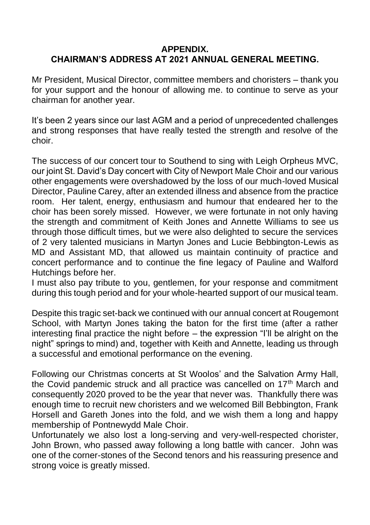#### **APPENDIX. CHAIRMAN'S ADDRESS AT 2021 ANNUAL GENERAL MEETING.**

Mr President, Musical Director, committee members and choristers – thank you for your support and the honour of allowing me. to continue to serve as your chairman for another year.

It's been 2 years since our last AGM and a period of unprecedented challenges and strong responses that have really tested the strength and resolve of the choir.

The success of our concert tour to Southend to sing with Leigh Orpheus MVC, our joint St. David's Day concert with City of Newport Male Choir and our various other engagements were overshadowed by the loss of our much-loved Musical Director, Pauline Carey, after an extended illness and absence from the practice room. Her talent, energy, enthusiasm and humour that endeared her to the choir has been sorely missed. However, we were fortunate in not only having the strength and commitment of Keith Jones and Annette Williams to see us through those difficult times, but we were also delighted to secure the services of 2 very talented musicians in Martyn Jones and Lucie Bebbington-Lewis as MD and Assistant MD, that allowed us maintain continuity of practice and concert performance and to continue the fine legacy of Pauline and Walford Hutchings before her.

I must also pay tribute to you, gentlemen, for your response and commitment during this tough period and for your whole-hearted support of our musical team.

Despite this tragic set-back we continued with our annual concert at Rougemont School, with Martyn Jones taking the baton for the first time (after a rather interesting final practice the night before – the expression "I'll be alright on the night" springs to mind) and, together with Keith and Annette, leading us through a successful and emotional performance on the evening.

Following our Christmas concerts at St Woolos' and the Salvation Army Hall, the Covid pandemic struck and all practice was cancelled on 17<sup>th</sup> March and consequently 2020 proved to be the year that never was. Thankfully there was enough time to recruit new choristers and we welcomed Bill Bebbington, Frank Horsell and Gareth Jones into the fold, and we wish them a long and happy membership of Pontnewydd Male Choir.

Unfortunately we also lost a long-serving and very-well-respected chorister, John Brown, who passed away following a long battle with cancer. John was one of the corner-stones of the Second tenors and his reassuring presence and strong voice is greatly missed.